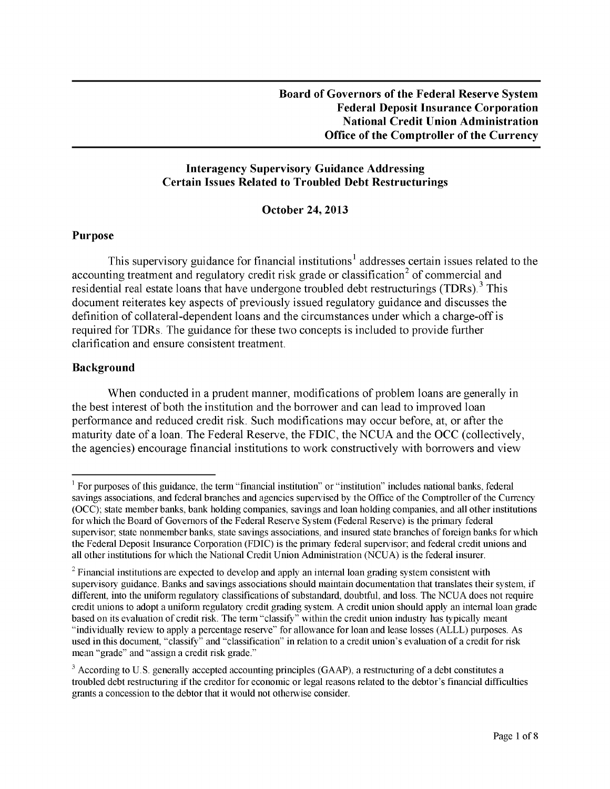## **Interagency Supervisory Guidance Addressing Certain Issues Related to Troubled Debt Restructurings**

#### **October 24, 2013**

#### **Purpose**

This supervisory guidance for financial institutions<sup>1</sup> addresses certain issues related to the accounting treatment and regulatory credit risk grade or classification<sup>2</sup> of commercial and residential real estate loans that have undergone troubled debt restructurings (TDRs).<sup>3</sup> This document reiterates key aspects of previously issued regulatory guidance and discusses the definition of collateral-dependent loans and the circumstances under which a charge-off is required for TDRs. The guidance for these two concepts is included to provide further clarification and ensure consistent treatment.

## **Background**

When conducted in a prudent manner, modifications of problem loans are generally in the best interest of both the institution and the borrower and can lead to improved loan performance and reduced credit risk. Such modifications may occur before, at, or after the maturity date of a loan. The Federal Reserve, the FDIC, the NCUA and the OCC (collectively, the agencies) encourage financial institutions to work constructively with borrowers and view

<span id="page-0-0"></span> $<sup>1</sup>$  For purposes of this guidance, the term "financial institution" or "institution" includes national banks, federal</sup> savings associations, and federal branches and agencies supervised by the Office of the Comptroller of the Currency (OCC); state member banks, bank holding companies, savings and loan holding companies, and all other institutions for which the Board of Governors of the Federal Reserve System (Federal Reserve) is the primary federal supervisor; state nonmember banks, state savings associations, and insured state branches of foreign banks for which the Federal Deposit Insurance Corporation (FDIC) is the primary federal supervisor; and federal credit unions and all other institutions for which the National Credit Union Administration (NCUA) is the federal insurer.

<span id="page-0-1"></span><sup>&</sup>lt;sup>2</sup> Financial institutions are expected to develop and apply an internal loan grading system consistent with supervisory guidance. Banks and savings associations should maintain documentation that translates their system, if different, into the uniform regulatory classifications of substandard, doubtful, and loss. The NCUA does not require credit unions to adopt a uniform regulatory credit grading system. A credit union should apply an internal loan grade based on its evaluation of credit risk. The term "classify" within the credit union industry has typically meant "individually review to apply a percentage reserve" for allowance for loan and lease losses (ALLL) purposes. As used in this document, "classify" and "classification" in relation to a credit union's evaluation of a credit for risk mean "grade" and "assign a credit risk grade."

<span id="page-0-2"></span><sup>&</sup>lt;sup>3</sup> According to U.S. generally accepted accounting principles (GAAP), a restructuring of a debt constitutes a troubled debt restructuring if the creditor for economic or legal reasons related to the debtor's financial difficulties grants a concession to the debtor that it would not otherwise consider.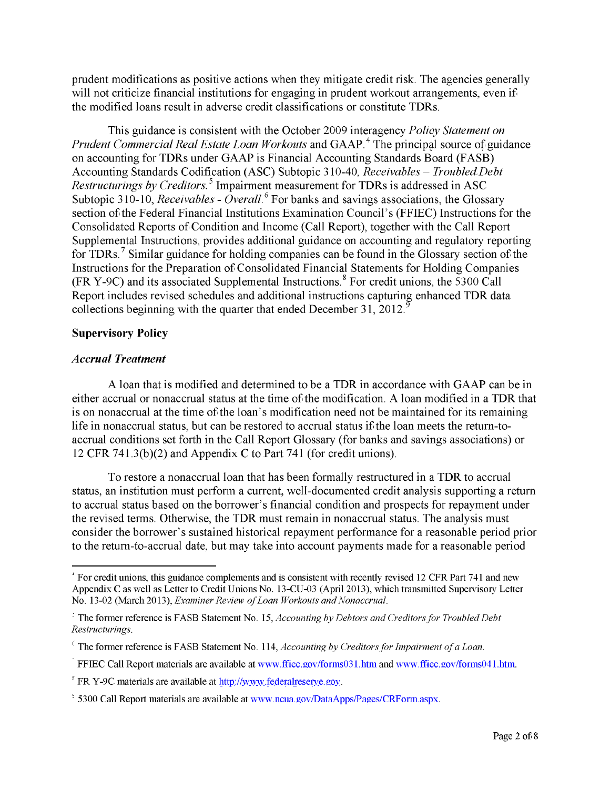prudent modifications as positive actions when they mitigate credit risk. The agencies generally will not criticize financial institutions for engaging in prudent workout arrangements, even if the modified loans result in adverse credit classifications or constitute TDRs.

This guidance is consistent with the October 2009 interagency *Policy Statement on Prudent Commercial Real Estate Loan Workouts* and GAAP.<sup>4</sup> The principal source of guidance on accounting for TDRs under GAAP is Financial Accounting Standards Board (FASB) Accounting Standards Codification (ASC) Subtopic 310-40, *Receivables - Troubled Debt*  Restructurings by Creditors.<sup>5</sup> Impairment measurement for TDRs is addressed in ASC Subtopic 310-10, *Receivables - Overall*.<sup>6</sup> For banks and savings associations, the Glossary section of the Federal Financial Institutions Examination Council's (FFIEC) Instructions for the Consolidated Reports of Condition and Income (Call Report), together with the Call Report Supplemental Instructions, provides additional guidance on accounting and regulatory reporting for TDRs.<sup>7</sup> Similar guidance for holding companies can be found in the Glossary section of the Instructions for the Preparation of Consolidated Financial Statements for Holding Companies  $(FR Y-9C)$  and its associated Supplemental Instructions.<sup>8</sup> For credit unions, the 5300 Call Report includes revised schedules and additional instructions capturing enhanced TDR data collections beginning with the quarter that ended December 31, 2012.<sup>9</sup>

## **Supervisory Policy**

#### *Accrual Treatment*

A loan that is modified and determined to be a TDR in accordance with GAAP can be in either accrual or nonaccrual status at the time of the modification. A loan modified in a TDR that is on nonaccrual at the time of the loan's modification need not be maintained for its remaining life in nonaccrual status, but can be restored to accrual status if the loan meets the return-toaccrual conditions set forth in the Call Report Glossary (for banks and savings associations) or 12 CFR 741.3(b)(2) and Appendix C to Part 741 (for credit unions).

To restore a nonaccrual loan that has been formally restructured in a TDR to accrual status, an institution must perform a current, well-documented credit analysis supporting a return to accrual status based on the borrower's financial condition and prospects for repayment under the revised terms. Otherwise, the TDR must remain in nonaccrual status. The analysis must consider the borrower's sustained historical repayment performance for a reasonable period prior to the return-to-accrual date, but may take into account payments made for a reasonable period

<span id="page-1-0"></span> $\epsilon$  For credit unions, this guidance complements and is consistent with recently revised 12 CFR Part 741 and new Appendix C as well as Letter to Credit Unions No. 13-CU-03 (April 2013), which transmitted Supervisory Letter No. 13-02 (March 2013), *Examiner Review of Loan Workouts and Nonaccrual*.

<span id="page-1-1"></span><sup>-</sup> The former reference is FASB Statement No. 15, *Accounting by Debtors and Creditors for Troubled Debt*   $Restructurings.$ 

<span id="page-1-2"></span> $\epsilon$  The former reference is FASB Statement No. 114, *Accounting by Creditors for Impairment of a Loan*.

<span id="page-1-3"></span>FFIEC Call Report materials are available at [www.ffiec.gov/forms03](http://www.ffiec.gov/forms031.htm)1.htm and [www.ffiec.gov/forms041](http://www.ffiec.gov/forms041.htm).htm.

<span id="page-1-4"></span> $F$  FR Y-9C materials are available at  $\frac{http://www.federalreserve.gov.}{http://www.federalreserve.gov.}$ 

 $\frac{1}{2}$  5300 Call Report materials are availa[ble at www.ncua.gov/DataApps/Pages/CRForm.](http://www.ncua.gov/DataApps/Pages/CRForm.aspx)aspx.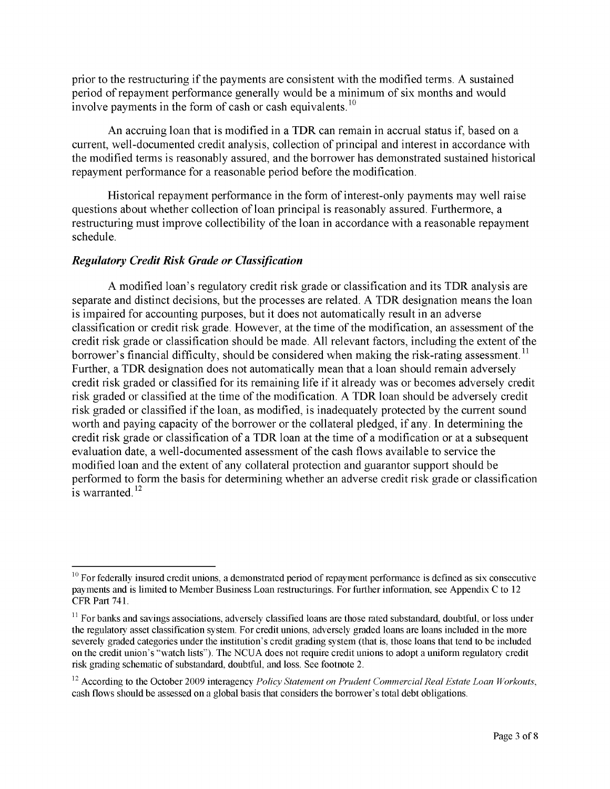prior to the restructuring if the payments are consistent with the modified terms. A sustained period of repayment performance generally would be a minimum of six months and would involvepayments in the form of cash or cash equivalents.<sup>10</sup>

An accruing loan that is modified in a TDR can remain in accrual status if, based on a current, well-documented credit analysis, collection of principal and interest in accordance with the modified terms is reasonably assured, and the borrower has demonstrated sustained historical repayment performance for a reasonable period before the modification.

Historical repayment performance in the form of interest-only payments may well raise questions about whether collection of loan principal is reasonably assured. Furthermore, a restructuring must improve collectibility of the loan in accordance with a reasonable repayment schedule.

#### *Regulatory Credit Risk Grade or Classification*

A modified loan's regulatory credit risk grade or classification and its TDR analysis are separate and distinct decisions, but the processes are related. A TDR designation means the loan is impaired for accounting purposes, but it does not automatically result in an adverse classification or credit risk grade. However, at the time of the modification, an assessment of the credit risk grade or classification should be made. All relevant factors, including the extent of the borrower's financial difficulty, should be considered when making the risk-rating assessment.<sup>11</sup> Further, a TDR designation does not automatically mean that a loan should remain adversely credit risk graded or classified for its remaining life if it already was or becomes adversely credit risk graded or classified at the time of the modification. A TDR loan should be adversely credit risk graded or classified if the loan, as modified, is inadequately protected by the current sound worth and paying capacity of the borrower or the collateral pledged, if any. In determining the credit risk grade or classification of a TDR loan at the time of a modification or at a subsequent evaluation date, a well-documented assessment of the cash flows available to service the modified loan and the extent of any collateral protection and guarantor support should be performed to form the basis for determining whether an adverse credit risk grade or classification  $\frac{1}{2}$  is warranted.<sup>12</sup>

<span id="page-2-0"></span> $10$  For federally insured credit unions, a demonstrated period of repayment performance is defined as six consecutive payments and is limited to Member Business Loan restructurings. For further information, see Appendix C to 12 CFR Part 741.

<span id="page-2-1"></span> $<sup>11</sup>$  For banks and savings associations, adversely classified loans are those rated substandard, doubtful, or loss under</sup> the regulatory asset classification system. For credit unions, adversely graded loans are loans included in the more severely graded categories under the institution's credit grading system (that is, those loans that tend to be included on the credit union's "watch lists"). The NCUA does not require credit unions to adopt a uniform regulatory credit risk grading schematic of substandard, doubtful, and loss. See footnote 2.

<span id="page-2-2"></span><sup>&</sup>lt;sup>12</sup> According to the October 2009 interagency *Policy Statement on Prudent Commercial Real Estate Loan Workouts,* cash flows should be assessed on a global basis that considers the borrower's total debt obligations.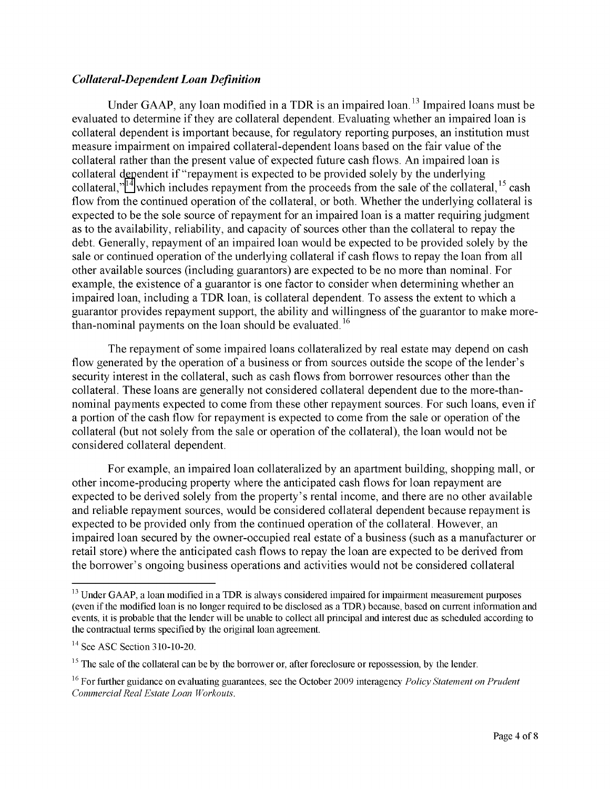## *Collateral-Dependent Loan Definition*

Under GAAP, any loan modified in a TDR is an impaired loan.<sup>13</sup> Impaired loans must be evaluated to determine if they are collateral dependent. Evaluating whether an impaired loan is collateral dependent is important because, for regulatory reporting purposes, an institution must measure impairment on impaired collateral-dependent loans based on the fair value of the collateral rather than the present value of expected future cash flows. An impaired loan is collateral dependent if "repayment is expected to be provided solely by the underlying collateral,"<sup>14</sup> which includes repayment from the proceeds from the sale of the collateral,<sup>15</sup> cash flow from the continued operation of the collateral, or both. Whether the underlying collateral is expected to be the sole source of repayment for an impaired loan is a matter requiring judgment as to the availability, reliability, and capacity of sources other than the collateral to repay the debt. Generally, repayment of an impaired loan would be expected to be provided solely by the sale or continued operation of the underlying collateral if cash flows to repay the loan from all other available sources (including guarantors) are expected to be no more than nominal. For example, the existence of a guarantor is one factor to consider when determining whether an impaired loan, including a TDR loan, is collateral dependent. To assess the extent to which a guarantor provides repayment support, the ability and willingness of the guarantor to make morethan-nominal payments on the loan should be evaluated.<sup>16</sup>

The repayment of some impaired loans collateralized by real estate may depend on cash flow generated by the operation of a business or from sources outside the scope of the lender's security interest in the collateral, such as cash flows from borrower resources other than the collateral. These loans are generally not considered collateral dependent due to the more-thannominal payments expected to come from these other repayment sources. For such loans, even if a portion of the cash flow for repayment is expected to come from the sale or operation of the collateral (but not solely from the sale or operation of the collateral), the loan would not be considered collateral dependent.

For example, an impaired loan collateralized by an apartment building, shopping mall, or other income-producing property where the anticipated cash flows for loan repayment are expected to be derived solely from the property's rental income, and there are no other available and reliable repayment sources, would be considered collateral dependent because repayment is expected to be provided only from the continued operation of the collateral. However, an impaired loan secured by the owner-occupied real estate of a business (such as a manufacturer or retail store) where the anticipated cash flows to repay the loan are expected to be derived from the borrower's ongoing business operations and activities would not be considered collateral

<span id="page-3-0"></span> $<sup>13</sup>$  Under GAAP, a loan modified in a TDR is always considered impaired for impairment measurement purposes</sup> (even if the modified loan is no longer required to be disclosed as a TDR) because, based on current information and events, it is probable that the lender will be unable to collect all principal and interest due as scheduled according to the contractual terms specified by the original loan agreement.

 $14$  See ASC Section 310-10-20.

<span id="page-3-1"></span> $15$  The sale of the collateral can be by the borrower or, after foreclosure or repossession, by the lender.

<span id="page-3-2"></span><sup>&</sup>lt;sup>16</sup> For further guidance on evaluating guarantees, see the October 2009 interagency *Policy Statement on Prudent* **Commercial Real Estate Loan Workouts.**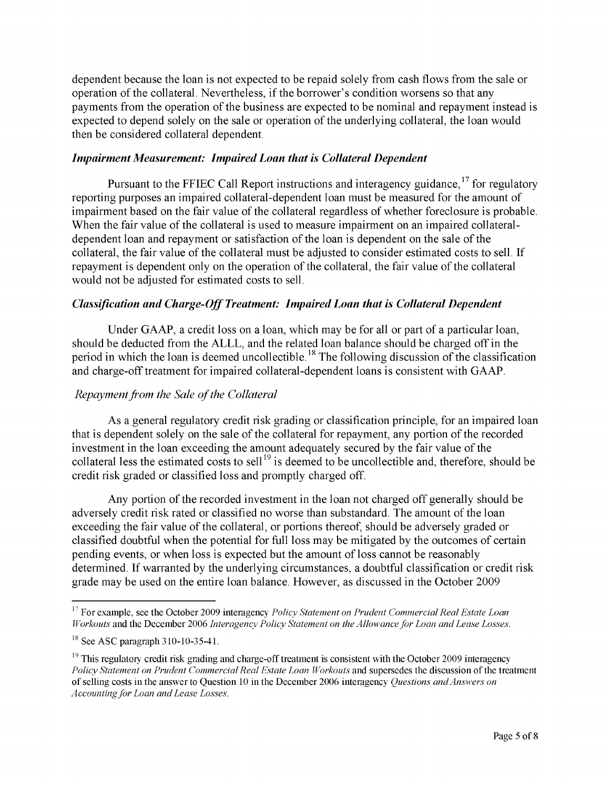dependent because the loan is not expected to be repaid solely from cash flows from the sale or operation of the collateral. Nevertheless, if the borrower's condition worsens so that any payments from the operation of the business are expected to be nominal and repayment instead is expected to depend solely on the sale or operation of the underlying collateral, the loan would then be considered collateral dependent.

## *Impairment Measurement: Impaired Loan that is Collateral Dependent*

Pursuant to the FFIEC Call Report instructions and interagency guidance,<sup>17</sup> for regulatory reporting purposes an impaired collateral-dependent loan must be measured for the amount of impairment based on the fair value of the collateral regardless of whether foreclosure is probable. When the fair value of the collateral is used to measure impairment on an impaired collateraldependent loan and repayment or satisfaction of the loan is dependent on the sale of the collateral, the fair value of the collateral must be adjusted to consider estimated costs to sell. If repayment is dependent only on the operation of the collateral, the fair value of the collateral would not be adjusted for estimated costs to sell.

## *Classification and Charge-Off Treatment: Impaired Loan that is Collateral Dependent*

Under GAAP, a credit loss on a loan, which may be for all or part of a particular loan, should be deducted from the ALLL, and the related loan balance should be charged off in the period in which the loan is deemed uncollectible.<sup>18</sup> The following discussion of the classification and charge-off treatment for impaired collateral-dependent loans is consistent with GAAP.

## *Repayment from the Sale of the Collateral*

As a general regulatory credit risk grading or classification principle, for an impaired loan that is dependent solely on the sale of the collateral for repayment, any portion of the recorded investment in the loan exceeding the amount adequately secured by the fair value of the collateral less the estimated costs to sell<sup>[19](#page-4-2)</sup> is deemed to be uncollectible and, therefore, should be credit risk graded or classified loss and promptly charged off.

Any portion of the recorded investment in the loan not charged off generally should be adversely credit risk rated or classified no worse than substandard. The amount of the loan exceeding the fair value of the collateral, or portions thereof, should be adversely graded or classified doubtful when the potential for full loss may be mitigated by the outcomes of certain pending events, or when loss is expected but the amount of loss cannot be reasonably determined. If warranted by the underlying circumstances, a doubtful classification or credit risk grade may be used on the entire loan balance. However, as discussed in the October 2009

<span id="page-4-0"></span><sup>&</sup>lt;sup>17</sup> For example, see the October 2009 interagency *Policy Statement on Prudent Commercial Real Estate Loan Workouts* and the December 2006 *Interagency Policy Statement on the Allowance for Loan and Lease Losses.* 

<span id="page-4-1"></span> $^{18}$  See ASC paragraph 310-10-35-41.

<span id="page-4-2"></span> $^{19}$  This regulatory credit risk grading and charge-off treatment is consistent with the October 2009 interagency *Policy Statement on Prudent Commercial Real Estate Loan Workouts* and supersedes the discussion of the treatment of selling costs in the answer to Question 10 in the December 2006 interagency *Questions and Answers on*  Accounting for Loan and Lease Losses.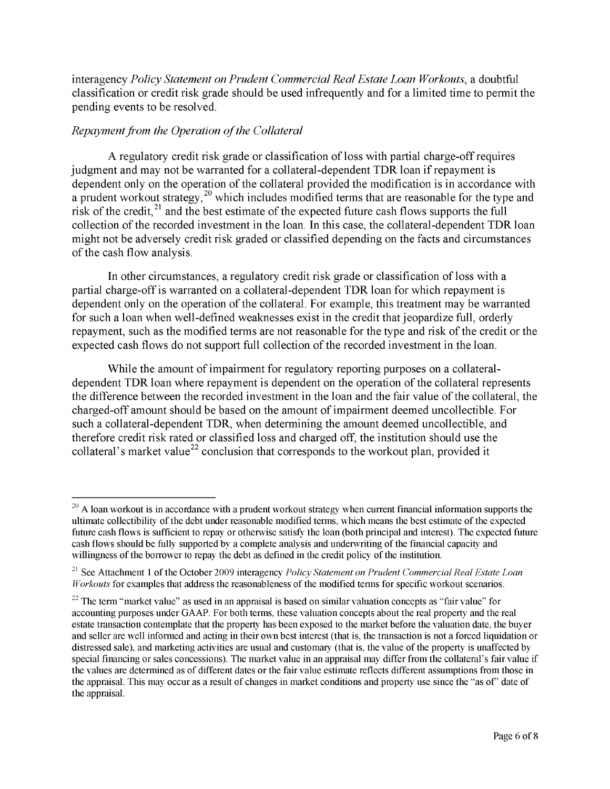interagency *Policy Statement on Prudent Commercial Real Estate Loan Workouts,* a doubtful classification or credit risk grade should be used infrequently and for a limited time to permit the pending events to be resolved.

# *Repayment from the Operation of the Collateral*

A regulatory credit risk grade or classification of loss with partial charge-off requires judgment and may not be warranted for a collateral-dependent TDR loan if repayment is dependent only on the operation of the collateral provided the modification is in accordance with a prudent workout strategy,  $20$  which includes modified terms that are reasonable for the type and risk of the credit, $^{21}$  $^{21}$  $^{21}$  and the best estimate of the expected future cash flows supports the full collection of the recorded investment in the loan. In this case, the collateral-dependent TDR loan might not be adversely credit risk graded or classified depending on the facts and circumstances of the cash flow analysis.

In other circumstances, a regulatory credit risk grade or classification of loss with a partial charge-off is warranted on a collateral-dependent TDR loan for which repayment is dependent only on the operation of the collateral. For example, this treatment may be warranted for such a loan when well-defined weaknesses exist in the credit that jeopardize full, orderly repayment, such as the modified terms are not reasonable for the type and risk of the credit or the expected cash flows do not support full collection of the recorded investment in the loan.

While the amount of impairment for regulatory reporting purposes on a collateraldependent TDR loan where repayment is dependent on the operation of the collateral represents the difference between the recorded investment in the loan and the fair value of the collateral, the charged-off amount should be based on the amount of impairment deemed uncollectible. For such a collateral-dependent TDR, when determining the amount deemed uncollectible, and therefore credit risk rated or classified loss and charged off, the institution should use the collateral's market value<sup>22</sup> conclusion that corresponds to the workout plan, provided it

<span id="page-5-0"></span> $20$  A loan workout is in accordance with a prudent workout strategy when current financial information supports the ultimate collectibility of the debt under reasonable modified terms, which means the best estimate of the expected future cash flows is sufficient to repay or otherwise satisfy the loan (both principal and interest). The expected future cash flows should be fully supported by a complete analysis and underwriting of the financial capacity and willingness of the borrower to repay the debt as defined in the credit policy of the institution.

<span id="page-5-1"></span><sup>&</sup>lt;sup>21</sup> See Attachment 1 of the October 2009 interagency *Policy Statement on Prudent Commercial Real Estate Loan Workouts* for examples that address the reasonableness of the modified terms for specific workout scenarios.

<span id="page-5-2"></span> $22$  The term "market value" as used in an appraisal is based on similar valuation concepts as "fair value" for accounting purposes under GAAP. For both terms, these valuation concepts about the real property and the real estate transaction contemplate that the property has been exposed to the market before the valuation date, the buyer and seller are well informed and acting in their own best interest (that is, the transaction is not a forced liquidation or distressed sale), and marketing activities are usual and customary (that is, the value of the property is unaffected by special financing or sales concessions). The market value in an appraisal may differ from the collateral's fair value if the values are determined as of different dates or the fair value estimate reflects different assumptions from those in the appraisal. This may occur as a result of changes in market conditions and property use since the "as of' date of the appraisal.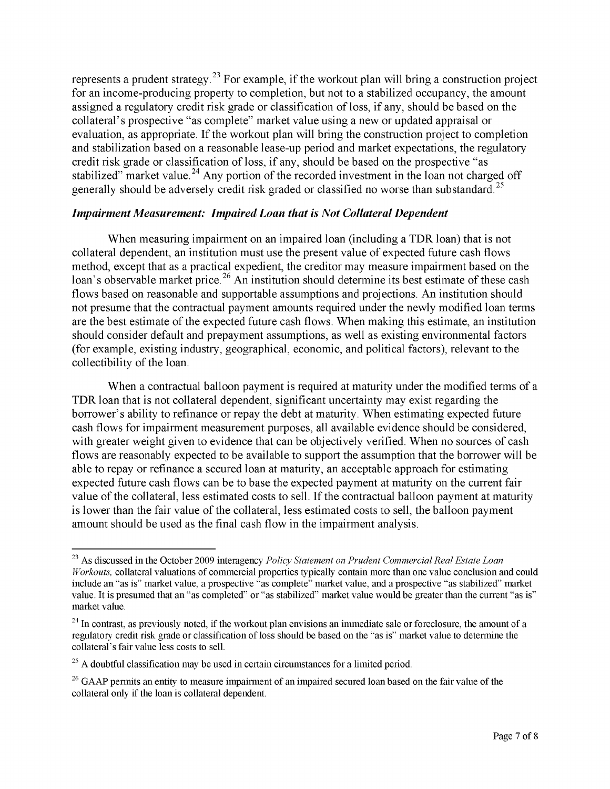represents a prudent strategy.<sup>[23](#page-6-0)</sup> For example, if the workout plan will bring a construction project for an income-producing property to completion, but not to a stabilized occupancy, the amount assigned a regulatory credit risk grade or classification of loss, if any, should be based on the collateral's prospective "as complete" market value using a new or updated appraisal or evaluation, as appropriate. If the workout plan will bring the construction project to completion and stabilization based on a reasonable lease-up period and market expectations, the regulatory credit risk grade or classification of loss, if any, should be based on the prospective "as stabilized" market value.<sup>24</sup> Any portion of the recorded investment in the loan not charged off generally should be adversely credit risk graded or classified no worse than substandard.<sup>25</sup>

#### *Impairment Measurement: Impaired Loan that is Not Collateral Dependent*

When measuring impairment on an impaired loan (including a TDR loan) that is not collateral dependent, an institution must use the present value of expected future cash flows method, except that as a practical expedient, the creditor may measure impairment based on the loan's observable market price.<sup>[26](#page-6-3)</sup> An institution should determine its best estimate of these cash flows based on reasonable and supportable assumptions and projections. An institution should not presume that the contractual payment amounts required under the newly modified loan terms are the best estimate of the expected future cash flows. When making this estimate, an institution should consider default and prepayment assumptions, as well as existing environmental factors (for example, existing industry, geographical, economic, and political factors), relevant to the collectibility of the loan.

When a contractual balloon payment is required at maturity under the modified terms of a TDR loan that is not collateral dependent, significant uncertainty may exist regarding the borrower's ability to refinance or repay the debt at maturity. When estimating expected future cash flows for impairment measurement purposes, all available evidence should be considered, with greater weight given to evidence that can be objectively verified. When no sources of cash flows are reasonably expected to be available to support the assumption that the borrower will be able to repay or refinance a secured loan at maturity, an acceptable approach for estimating expected future cash flows can be to base the expected payment at maturity on the current fair value of the collateral, less estimated costs to sell. If the contractual balloon payment at maturity is lower than the fair value of the collateral, less estimated costs to sell, the balloon payment amount should be used as the final cash flow in the impairment analysis.

<span id="page-6-0"></span><sup>&</sup>lt;sup>23</sup> As discussed in the October 2009 interagency *Policy Statement on Prudent Commercial Real Estate Loan Workouts,* collateral valuations of commercial properties typically contain more than one value conclusion and could include an "as is" market value, a prospective "as complete" market value, and a prospective "as stabilized" market value. It is presumed that an "as completed" or "as stabilized" market value would be greater than the current "as is" market value.

<span id="page-6-1"></span> $^{24}$  In contrast, as previously noted, if the workout plan envisions an immediate sale or foreclosure, the amount of a regulatory credit risk grade or classification of loss should be based on the "as is" market value to determine the collateral's fair value less costs to sell.

<span id="page-6-2"></span> $25$  A doubtful classification may be used in certain circumstances for a limited period.

<span id="page-6-3"></span> $26$  GAAP permits an entity to measure impairment of an impaired secured loan based on the fair value of the collateral only if the loan is collateral dependent.